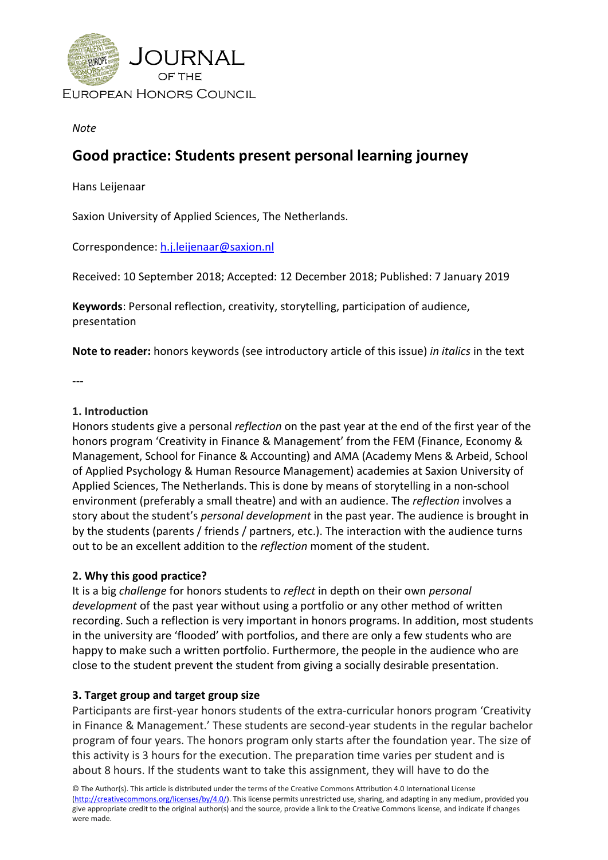

## *Note*

# **Good practice: Students present personal learning journey**

Hans Leijenaar

Saxion University of Applied Sciences, The Netherlands.

Correspondence: [h.j.leijenaar@saxion.nl](mailto:h.j.leijenaar@saxion.nl)

Received: 10 September 2018; Accepted: 12 December 2018; Published: 7 January 2019

**Keywords**: Personal reflection, creativity, storytelling, participation of audience, presentation

**Note to reader:** honors keywords (see introductory article of this issue) *in italics* in the text

---

## **1. Introduction**

Honors students give a personal *reflection* on the past year at the end of the first year of the honors program 'Creativity in Finance & Management' from the FEM (Finance, Economy & Management, School for Finance & Accounting) and AMA (Academy Mens & Arbeid, School of Applied Psychology & Human Resource Management) academies at Saxion University of Applied Sciences, The Netherlands. This is done by means of storytelling in a non-school environment (preferably a small theatre) and with an audience. The *reflection* involves a story about the student's *personal development* in the past year. The audience is brought in by the students (parents / friends / partners, etc.). The interaction with the audience turns out to be an excellent addition to the *reflection* moment of the student.

# **2. Why this good practice?**

It is a big *challenge* for honors students to *reflect* in depth on their own *personal development* of the past year without using a portfolio or any other method of written recording. Such a reflection is very important in honors programs. In addition, most students in the university are 'flooded' with portfolios, and there are only a few students who are happy to make such a written portfolio. Furthermore, the people in the audience who are close to the student prevent the student from giving a socially desirable presentation.

# **3. Target group and target group size**

Participants are first-year honors students of the extra-curricular honors program 'Creativity in Finance & Management.' These students are second-year students in the regular bachelor program of four years. The honors program only starts after the foundation year. The size of this activity is 3 hours for the execution. The preparation time varies per student and is about 8 hours. If the students want to take this assignment, they will have to do the

© The Author(s). This article is distributed under the terms of the Creative Commons Attribution 4.0 International License [\(http://creativecommons.org/licenses/by/4.0/\)](http://creativecommons.org/licenses/by/4.0/). This license permits unrestricted use, sharing, and adapting in any medium, provided you give appropriate credit to the original author(s) and the source, provide a link to the Creative Commons license, and indicate if changes were made.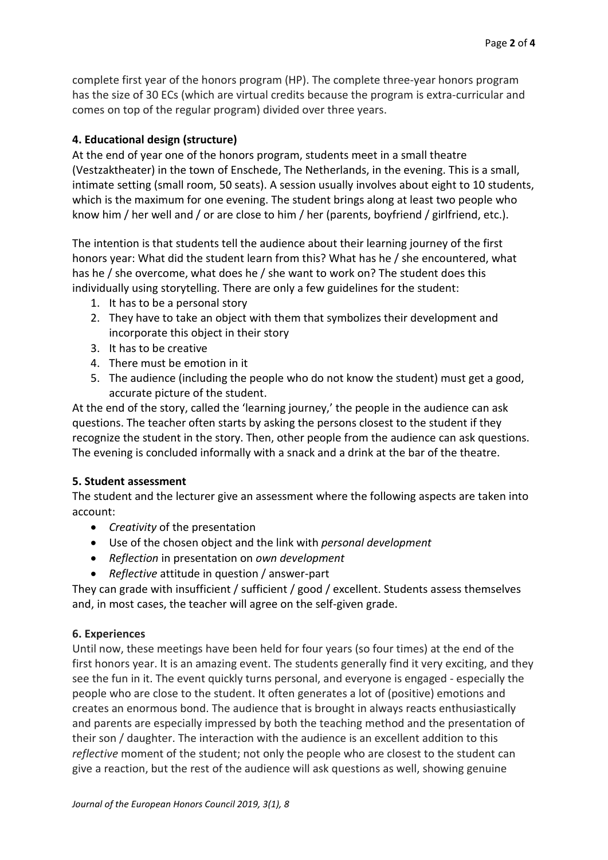complete first year of the honors program (HP). The complete three-year honors program has the size of 30 ECs (which are virtual credits because the program is extra-curricular and comes on top of the regular program) divided over three years.

# **4. Educational design (structure)**

At the end of year one of the honors program, students meet in a small theatre (Vestzaktheater) in the town of Enschede, The Netherlands, in the evening. This is a small, intimate setting (small room, 50 seats). A session usually involves about eight to 10 students, which is the maximum for one evening. The student brings along at least two people who know him / her well and / or are close to him / her (parents, boyfriend / girlfriend, etc.).

The intention is that students tell the audience about their learning journey of the first honors year: What did the student learn from this? What has he / she encountered, what has he / she overcome, what does he / she want to work on? The student does this individually using storytelling. There are only a few guidelines for the student:

- 1. It has to be a personal story
- 2. They have to take an object with them that symbolizes their development and incorporate this object in their story
- 3. It has to be creative
- 4. There must be emotion in it
- 5. The audience (including the people who do not know the student) must get a good, accurate picture of the student.

At the end of the story, called the 'learning journey,' the people in the audience can ask questions. The teacher often starts by asking the persons closest to the student if they recognize the student in the story. Then, other people from the audience can ask questions. The evening is concluded informally with a snack and a drink at the bar of the theatre.

#### **5. Student assessment**

The student and the lecturer give an assessment where the following aspects are taken into account:

- *Creativity* of the presentation
- Use of the chosen object and the link with *personal development*
- *Reflection* in presentation on *own development*
- *Reflective* attitude in question / answer-part

They can grade with insufficient / sufficient / good / excellent. Students assess themselves and, in most cases, the teacher will agree on the self-given grade.

#### **6. Experiences**

Until now, these meetings have been held for four years (so four times) at the end of the first honors year. It is an amazing event. The students generally find it very exciting, and they see the fun in it. The event quickly turns personal, and everyone is engaged - especially the people who are close to the student. It often generates a lot of (positive) emotions and creates an enormous bond. The audience that is brought in always reacts enthusiastically and parents are especially impressed by both the teaching method and the presentation of their son / daughter. The interaction with the audience is an excellent addition to this *reflective* moment of the student; not only the people who are closest to the student can give a reaction, but the rest of the audience will ask questions as well, showing genuine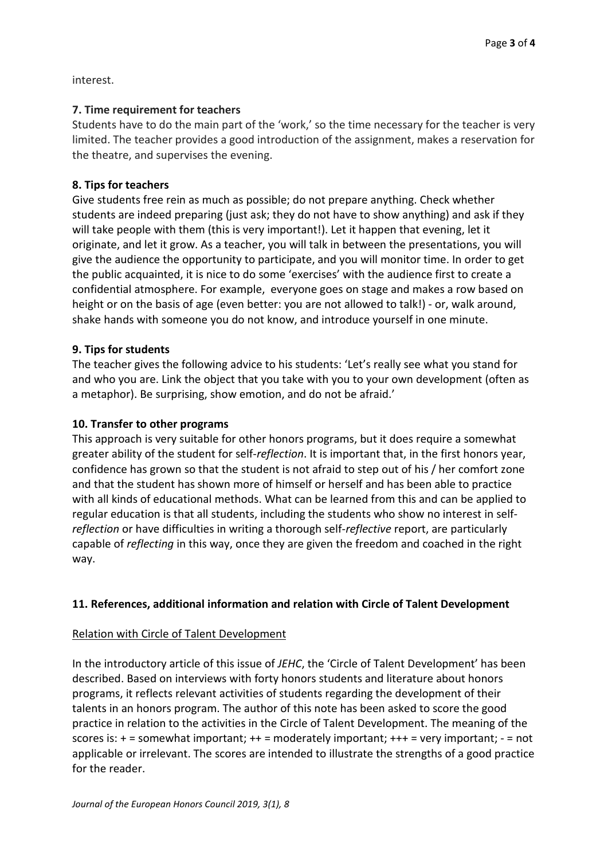interest.

# **7. Time requirement for teachers**

Students have to do the main part of the 'work,' so the time necessary for the teacher is very limited. The teacher provides a good introduction of the assignment, makes a reservation for the theatre, and supervises the evening.

## **8. Tips for teachers**

Give students free rein as much as possible; do not prepare anything. Check whether students are indeed preparing (just ask; they do not have to show anything) and ask if they will take people with them (this is very important!). Let it happen that evening, let it originate, and let it grow. As a teacher, you will talk in between the presentations, you will give the audience the opportunity to participate, and you will monitor time. In order to get the public acquainted, it is nice to do some 'exercises' with the audience first to create a confidential atmosphere. For example, everyone goes on stage and makes a row based on height or on the basis of age (even better: you are not allowed to talk!) - or, walk around, shake hands with someone you do not know, and introduce yourself in one minute.

## **9. Tips for students**

The teacher gives the following advice to his students: 'Let's really see what you stand for and who you are. Link the object that you take with you to your own development (often as a metaphor). Be surprising, show emotion, and do not be afraid.'

## **10. Transfer to other programs**

This approach is very suitable for other honors programs, but it does require a somewhat greater ability of the student for self-*reflection*. It is important that, in the first honors year, confidence has grown so that the student is not afraid to step out of his / her comfort zone and that the student has shown more of himself or herself and has been able to practice with all kinds of educational methods. What can be learned from this and can be applied to regular education is that all students, including the students who show no interest in self*reflection* or have difficulties in writing a thorough self-*reflective* report, are particularly capable of *reflecting* in this way, once they are given the freedom and coached in the right way.

# **11. References, additional information and relation with Circle of Talent Development**

#### Relation with Circle of Talent Development

In the introductory article of this issue of *JEHC*, the 'Circle of Talent Development' has been described. Based on interviews with forty honors students and literature about honors programs, it reflects relevant activities of students regarding the development of their talents in an honors program. The author of this note has been asked to score the good practice in relation to the activities in the Circle of Talent Development. The meaning of the scores is: + = somewhat important; ++ = moderately important; +++ = very important; - = not applicable or irrelevant. The scores are intended to illustrate the strengths of a good practice for the reader.